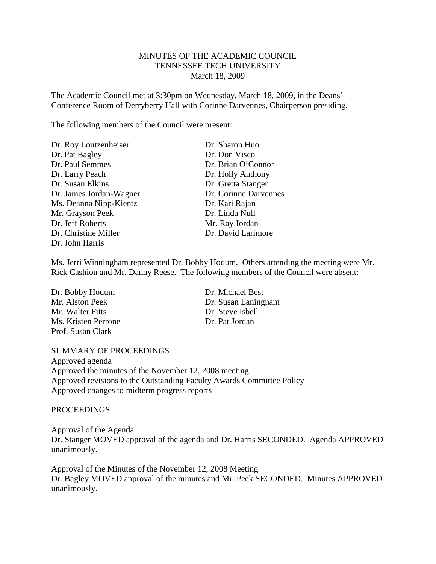# MINUTES OF THE ACADEMIC COUNCIL TENNESSEE TECH UNIVERSITY March 18, 2009

The Academic Council met at 3:30pm on Wednesday, March 18, 2009, in the Deans' Conference Room of Derryberry Hall with Corinne Darvennes, Chairperson presiding.

The following members of the Council were present:

| Dr. Roy Loutzenheiser   | Dr. Sharon Huo        |
|-------------------------|-----------------------|
| Dr. Pat Bagley          | Dr. Don Visco         |
| Dr. Paul Semmes         | Dr. Brian O'Connor    |
| Dr. Larry Peach         | Dr. Holly Anthony     |
| Dr. Susan Elkins        | Dr. Gretta Stanger    |
| Dr. James Jordan-Wagner | Dr. Corinne Darvennes |
| Ms. Deanna Nipp-Kientz  | Dr. Kari Rajan        |
| Mr. Grayson Peek        | Dr. Linda Null        |
| Dr. Jeff Roberts        | Mr. Ray Jordan        |
| Dr. Christine Miller    | Dr. David Larimore    |
| Dr. John Harris         |                       |

Ms. Jerri Winningham represented Dr. Bobby Hodum. Others attending the meeting were Mr. Rick Cashion and Mr. Danny Reese. The following members of the Council were absent:

Dr. Bobby Hodum Dr. Michael Best Mr. Walter Fitts Dr. Steve Isbell Ms. Kristen Perrone Dr. Pat Jordan Prof. Susan Clark

Mr. Alston Peek Dr. Susan Laningham

#### SUMMARY OF PROCEEDINGS

Approved agenda Approved the minutes of the November 12, 2008 meeting Approved revisions to the Outstanding Faculty Awards Committee Policy Approved changes to midterm progress reports

#### **PROCEEDINGS**

Approval of the Agenda

Dr. Stanger MOVED approval of the agenda and Dr. Harris SECONDED. Agenda APPROVED unanimously.

Dr. Bagley MOVED approval of the minutes and Mr. Peek SECONDED. Minutes APPROVED unanimously. Approval of the Minutes of the November 12, 2008 Meeting